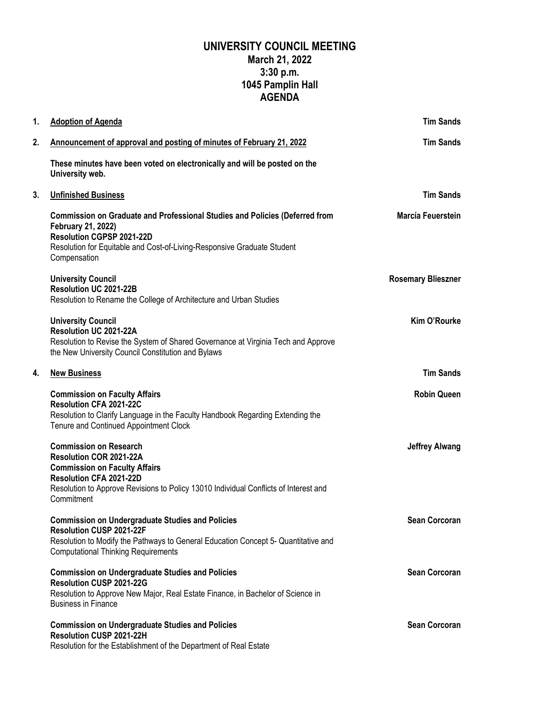## **UNIVERSITY COUNCIL MEETING March 21, 2022 3:30 p.m. 1045 Pamplin Hall AGENDA**

| 1. | <b>Adoption of Agenda</b>                                                                                                                                                                                                         | <b>Tim Sands</b>          |
|----|-----------------------------------------------------------------------------------------------------------------------------------------------------------------------------------------------------------------------------------|---------------------------|
| 2. | Announcement of approval and posting of minutes of February 21, 2022                                                                                                                                                              | <b>Tim Sands</b>          |
|    | These minutes have been voted on electronically and will be posted on the<br>University web.                                                                                                                                      |                           |
| 3. | <b>Unfinished Business</b>                                                                                                                                                                                                        | <b>Tim Sands</b>          |
|    | <b>Commission on Graduate and Professional Studies and Policies (Deferred from</b><br>February 21, 2022)<br>Resolution CGPSP 2021-22D<br>Resolution for Equitable and Cost-of-Living-Responsive Graduate Student<br>Compensation  | Marcía Feuerstein         |
|    | <b>University Council</b><br>Resolution UC 2021-22B<br>Resolution to Rename the College of Architecture and Urban Studies                                                                                                         | <b>Rosemary Blieszner</b> |
|    | <b>University Council</b><br>Resolution UC 2021-22A<br>Resolution to Revise the System of Shared Governance at Virginia Tech and Approve<br>the New University Council Constitution and Bylaws                                    | <b>Kim O'Rourke</b>       |
| 4. | <b>New Business</b>                                                                                                                                                                                                               | <b>Tim Sands</b>          |
|    | <b>Commission on Faculty Affairs</b><br><b>Resolution CFA 2021-22C</b><br>Resolution to Clarify Language in the Faculty Handbook Regarding Extending the<br>Tenure and Continued Appointment Clock                                | <b>Robin Queen</b>        |
|    | <b>Commission on Research</b><br>Resolution COR 2021-22A<br><b>Commission on Faculty Affairs</b><br>Resolution CFA 2021-22D<br>Resolution to Approve Revisions to Policy 13010 Individual Conflicts of Interest and<br>Commitment | <b>Jeffrey Alwang</b>     |
|    | <b>Commission on Undergraduate Studies and Policies</b><br><b>Resolution CUSP 2021-22F</b><br>Resolution to Modify the Pathways to General Education Concept 5- Quantitative and<br><b>Computational Thinking Requirements</b>    | <b>Sean Corcoran</b>      |
|    | <b>Commission on Undergraduate Studies and Policies</b><br>Resolution CUSP 2021-22G<br>Resolution to Approve New Major, Real Estate Finance, in Bachelor of Science in<br><b>Business in Finance</b>                              | <b>Sean Corcoran</b>      |
|    | <b>Commission on Undergraduate Studies and Policies</b><br>Resolution CUSP 2021-22H<br>Resolution for the Establishment of the Department of Real Estate                                                                          | <b>Sean Corcoran</b>      |